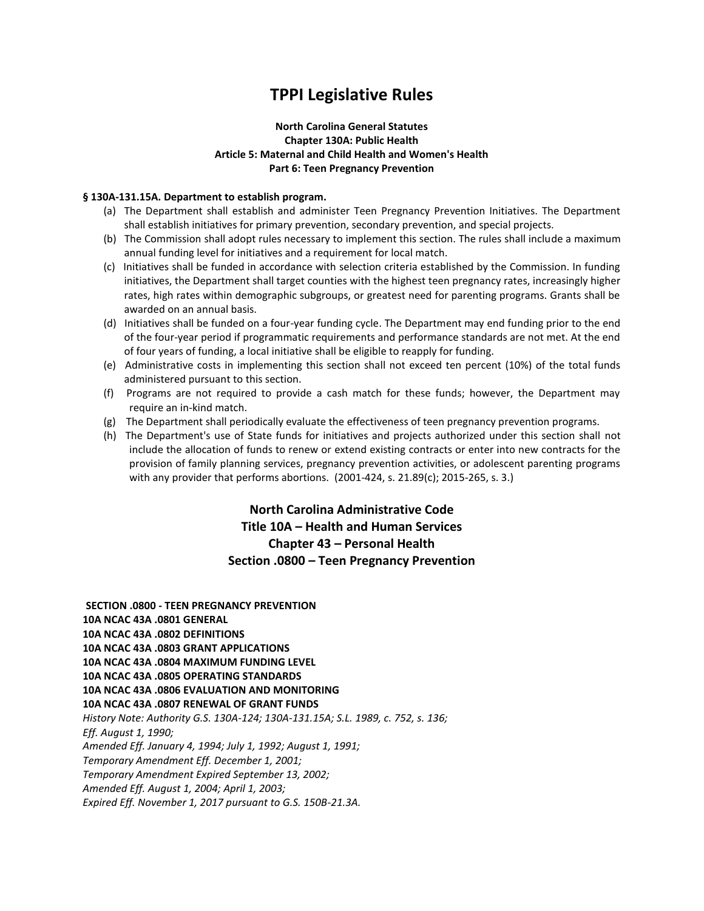# **TPPI Legislative Rules**

## **North Carolina General Statutes Chapter 130A: Public Health Article 5: Maternal and Child Health and Women's Health Part 6: Teen Pregnancy Prevention**

#### **§ 130A-131.15A. Department to establish program.**

- (a) The Department shall establish and administer Teen Pregnancy Prevention Initiatives. The Department shall establish initiatives for primary prevention, secondary prevention, and special projects.
- (b) The Commission shall adopt rules necessary to implement this section. The rules shall include a maximum annual funding level for initiatives and a requirement for local match.
- (c) Initiatives shall be funded in accordance with selection criteria established by the Commission. In funding initiatives, the Department shall target counties with the highest teen pregnancy rates, increasingly higher rates, high rates within demographic subgroups, or greatest need for parenting programs. Grants shall be awarded on an annual basis.
- (d) Initiatives shall be funded on a four-year funding cycle. The Department may end funding prior to the end of the four-year period if programmatic requirements and performance standards are not met. At the end of four years of funding, a local initiative shall be eligible to reapply for funding.
- (e) Administrative costs in implementing this section shall not exceed ten percent (10%) of the total funds administered pursuant to this section.
- (f) Programs are not required to provide a cash match for these funds; however, the Department may require an in-kind match.
- (g) The Department shall periodically evaluate the effectiveness of teen pregnancy prevention programs.
- (h) The Department's use of State funds for initiatives and projects authorized under this section shall not include the allocation of funds to renew or extend existing contracts or enter into new contracts for the provision of family planning services, pregnancy prevention activities, or adolescent parenting programs with any provider that performs abortions. (2001-424, s. 21.89(c); 2015-265, s. 3.)

# **North Carolina Administrative Code Title 10A – Health and Human Services Chapter 43 – Personal Health Section .0800 – Teen Pregnancy Prevention**

**SECTION .0800 - TEEN PREGNANCY PREVENTION 10A NCAC 43A .0801 GENERAL 10A NCAC 43A .0802 DEFINITIONS 10A NCAC 43A .0803 GRANT APPLICATIONS 10A NCAC 43A .0804 MAXIMUM FUNDING LEVEL 10A NCAC 43A .0805 OPERATING STANDARDS 10A NCAC 43A .0806 EVALUATION AND MONITORING 10A NCAC 43A .0807 RENEWAL OF GRANT FUNDS**  *History Note: Authority G.S. 130A-124; 130A-131.15A; S.L. 1989, c. 752, s. 136; Eff. August 1, 1990; Amended Eff. January 4, 1994; July 1, 1992; August 1, 1991; Temporary Amendment Eff. December 1, 2001; Temporary Amendment Expired September 13, 2002; Amended Eff. August 1, 2004; April 1, 2003; Expired Eff. November 1, 2017 pursuant to G.S. 150B-21.3A.*